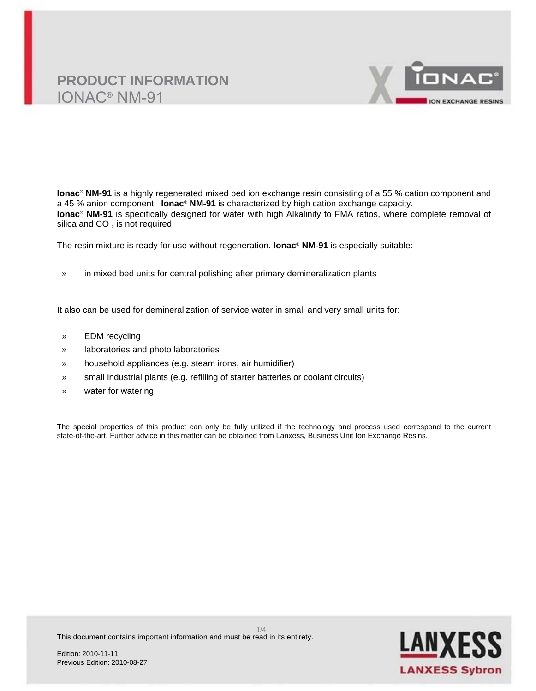

**Ionac® NM-91** is a highly regenerated mixed bed ion exchange resin consisting of a 55 % cation component and a 45 % anion component. **Ionac® NM-91** is characterized by high cation exchange capacity. **Ionac® NM-91** is specifically designed for water with high Alkalinity to FMA ratios, where complete removal of silica and CO  $_2$  is not required.

The resin mixture is ready for use without regeneration. **Ionac® NM-91** is especially suitable:

» in mixed bed units for central polishing after primary demineralization plants

It also can be used for demineralization of service water in small and very small units for:

- » EDM recycling
- » laboratories and photo laboratories
- » household appliances (e.g. steam irons, air humidifier)
- » small industrial plants (e.g. refilling of starter batteries or coolant circuits)
- » water for watering

The special properties of this product can only be fully utilized if the technology and process used correspond to the current state-of-the-art. Further advice in this matter can be obtained from Lanxess, Business Unit Ion Exchange Resins.

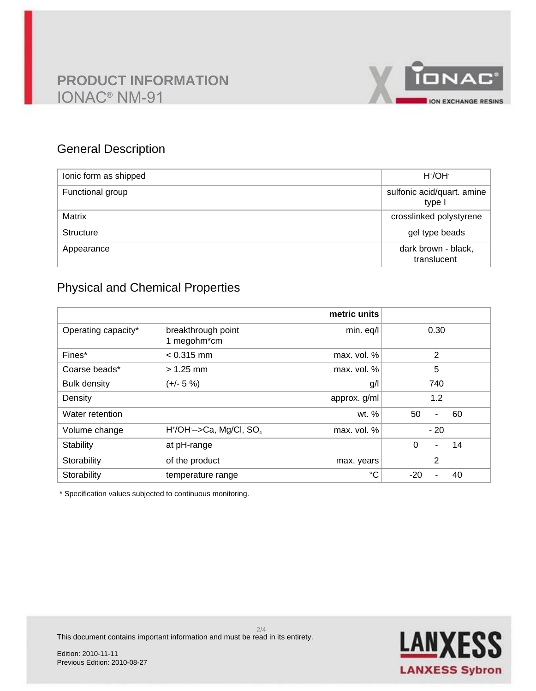

### General Description

| lonic form as shipped | $H^{\dagger}/OH^{-}$                 |
|-----------------------|--------------------------------------|
| Functional group      | sulfonic acid/quart. amine<br>type I |
| <b>Matrix</b>         | crosslinked polystyrene              |
| <b>Structure</b>      | gel type beads                       |
| Appearance            | dark brown - black,<br>translucent   |

### Physical and Chemical Properties

|                     |                                        | metric units |                     |
|---------------------|----------------------------------------|--------------|---------------------|
| Operating capacity* | breakthrough point<br>1 megohm*cm      | min. eq/l    | 0.30                |
| Fines*              | $< 0.315$ mm                           | max. vol. %  | 2                   |
| Coarse beads*       | $> 1.25$ mm                            | max. vol. %  | 5                   |
| <b>Bulk density</b> | $(+/- 5%)$                             | g/l          | 740                 |
| Density             |                                        | approx. g/ml | 1.2                 |
| Water retention     |                                        | wt. $%$      | 50<br>60<br>٠       |
| Volume change       | $H^*/OH$ -->Ca, Mg/Cl, SO <sub>4</sub> | max. vol. %  | $-20$               |
| Stability           | at pH-range                            |              | $\Omega$<br>14<br>- |
| Storability         | of the product                         | max. years   | 2                   |
| Storability         | temperature range                      | °C           | $-20$<br>40         |

\* Specification values subjected to continuous monitoring.

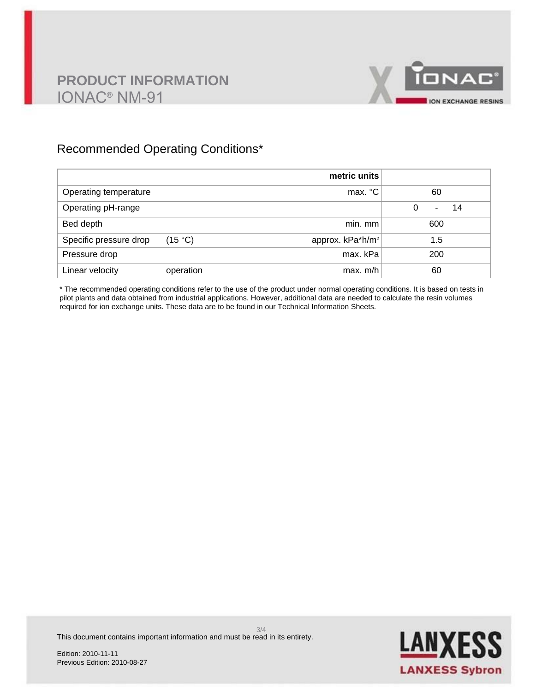

### Recommended Operating Conditions\*

|                        |           | metric units                 |                     |
|------------------------|-----------|------------------------------|---------------------|
| Operating temperature  |           | max. °C                      | 60                  |
| Operating pH-range     |           |                              | $\Omega$<br>14<br>۰ |
| Bed depth              |           | min. mm                      | 600                 |
| Specific pressure drop | (15 °C)   | approx. kPa*h/m <sup>2</sup> | 1.5                 |
| Pressure drop          |           | max. kPa                     | 200                 |
| Linear velocity        | operation | max. m/h                     | 60                  |

\* The recommended operating conditions refer to the use of the product under normal operating conditions. It is based on tests in pilot plants and data obtained from industrial applications. However, additional data are needed to calculate the resin volumes required for ion exchange units. These data are to be found in our Technical Information Sheets.